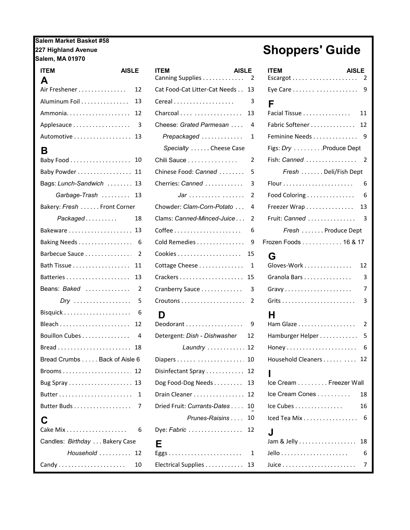## **Salem Market Basket #58 227 Highland Avenue**<br>227 Highland Avenue<br>Salem, MA 01970

## Air Freshener . . . . . . . . . . . . . . . 12 Aluminum Foil . . . . . . . . . . . . . . . 13 Ammonia. . . . . . . . . . . . . . . . . . . . 12 Charcoal . . . . . . . . . . . . . . . . . . . 13 Facial Tissue . . . . . . . . . . . . . . . 11 Applesauce . . . . . . . . . . . . . . . . . . 3 Cheese: *Grated Parmesan* . . . . 4 Fabric Softener . . . . . . . . . . . . . . 12 Automotive . . . . . . . . . . . . . . . . . . 13 *Prepackaged* . . . . . . . . . . . . . 1 Feminine Needs . . . . . . . . . . . . . . 9 Baby Food . . . . . . . . . . . . . . . . . . . 10 Chili Sauce . . . . . . . . . . . . . . . 2 Fish: *Canned* . . . . . . . . . . . . . . . . 2 Baby Powder . . . . . . . . . . . . . . . . 11 Bags: *Lunch-Sandwich* . . . . . . . . 13 *Garbage-Trash* . . . . . . . . . 13 *Packaged* . . . . . . . . . . . . . 18 Bakeware . . . . . . . . . . . . . . . . . . . . 13 Coffee . . . . . . . . . . . . . . . . . . . . . 6 Baking Needs . . . . . . . . . . . . . . . . . 6 Barbecue Sauce . . . . . . . . . . . . . . . 2 Bath Tissue . . . . . . . . . . . . . . . . . . 11 Batteries . . . . . . . . . . . . . . . . . . . . 13 Crackers . . . . . . . . . . . . . . . . . . . . 15 Granola Bars . . . . . . . . . . . . . . . 3 Beans: *Baked* . . . . . . . . . . . . . . 2 *Dry* . . . . . . . . . . . . . . . . . . 5 Croutons . . . . . . . . . . . . . . . . . . . . 2 Grits . . . . . . . . . . . . . . . . . . . . . . . 3 Bisquick . . . . . . . . . . . . . . . . . . . . . 6 Bleach . . . . . . . . . . . . . . . . . . . . . . 12 Deodorant . . . . . . . . . . . . . . . . . . 9 Ham Glaze . . . . . . . . . . . . . . . . . . 2 Bouillon Cubes . . . . . . . . . . . . . . . . 4 Bread . . . . . . . . . . . . . . . . . . . . . . . 18 *Laundry* . . . . . . . . . . . . 12 Honey . . . . . . . . . . . . . . . . . . . . . . 6 Brooms . . . . . . . . . . . . . . . . . . . . . . 12 Disinfectant Spray . . . . . . . . . . . . 12 Bug Spray . . . . . . . . . . . . . . . . . . . . 13 Dog Food-Dog Needs . . . . . . . . . 13 Butter . . . . . . . . . . . . . . . . . . . . . . . 1 Drain Cleaner . . . . . . . . . . . . . . . . 12 Ice Cream Cones . . . . . . . . . . 18 Butter Buds . . . . . . . . . . . . . . . . . . 7 Dried Fruit: *Currants-Dates . . . .* <sup>10</sup> Ice Cubes . . . . . . . . . . . . . . . 16 <sup>1</sup> Cake Mix . . . . . . . . . . . . . . . . . . . 6 Dye: *Fabric* . . . . . . . . . . . . . . . . . 12 *Household* . . . . . . . . . . 12 Bread Crumbs . . . . . Back of Aisle 6 **C** Candles: Birthday . . . Bakery Case Bakery: *Fresh* . . . . . . Front Corner  **ITEM AISLE ITEM AISLE ITEM AISLE A**

| <b>ITEM</b><br>A                                    | <b>AISLE</b> | <b>ITEM</b><br>Canning Supplies   | <b>AISLE</b><br>2 | <b>ITEM</b><br><b>AISL</b>                  |  |
|-----------------------------------------------------|--------------|-----------------------------------|-------------------|---------------------------------------------|--|
| Air Freshener                                       | 12           | Cat Food-Cat Litter-Cat Needs 13  |                   |                                             |  |
| Aluminum Foil                                       | 13           |                                   | 3                 | F                                           |  |
|                                                     |              | Charcoal                          | 13                | Facial Tissue                               |  |
| Applesauce 3                                        |              | Cheese: Grated Parmesan           | 4                 | Fabric Softener                             |  |
| Automotive 13                                       |              | Prepackaged                       | 1                 | Feminine Needs                              |  |
| В                                                   |              | Specialty Cheese Case             |                   | Figs: Dry Produce Dept                      |  |
|                                                     |              | Chili Sauce                       | 2                 | Fish: Canned                                |  |
| Baby Powder 11                                      |              | Chinese Food: Canned              | 5                 | Fresh Deli/Fish Dep                         |  |
| Bags: Lunch-Sandwich  13                            |              | Cherries: Canned                  | 3                 |                                             |  |
| Garbage-Trash  13                                   |              |                                   | $\mathcal{P}$     | Food Coloring $\ldots \ldots \ldots \ldots$ |  |
| Bakery: Fresh Front Corner                          |              | Chowder: Clam-Corn-Potato         | 4                 | Freezer Wrap                                |  |
| Packaged                                            | 18           | Clams: Canned-Minced-Juice        | $\mathcal{L}$     | Fruit: Canned                               |  |
|                                                     |              |                                   | 6                 | Fresh Produce Dep                           |  |
| Baking Needs 6                                      |              | Cold Remedies                     | 9                 | Frozen Foods 16 & 1                         |  |
| Barbecue Sauce 2                                    |              |                                   | 15                | G                                           |  |
| Bath Tissue $\ldots \ldots \ldots \ldots \ldots 11$ |              | Cottage Cheese                    | 1                 | Gloves-Work                                 |  |
|                                                     |              | Crackers                          | 15                | Granola Bars                                |  |
| Beans: <i>Baked</i>                                 | 2            | Cranberry Sauce                   | 3                 | Gravy                                       |  |
| Dry  5                                              |              |                                   |                   |                                             |  |
|                                                     |              | D                                 |                   | н                                           |  |
|                                                     |              |                                   |                   | Ham Glaze                                   |  |
| Bouillon Cubes 4                                    |              | Detergent: Dish - Dishwasher      | 12                | Hamburger Helper                            |  |
|                                                     |              | Laundry $\dots\dots\dots\dots$ 12 |                   |                                             |  |

| $Laundry$ 12                               |                        |
|--------------------------------------------|------------------------|
|                                            | Household Cleaners 12  |
| Disinfectant Spray  12                     |                        |
| Dog Food-Dog Needs  13                     | Ice Cream Freezer Wall |
| Drain Cleaner  12                          | Ice Cream Cones 18     |
| Dried Fruit: Currants-Dates 10             | 16<br>Ice Cubes        |
| Prunes-Raisins 10                          | Iced Tea Mix 6         |
| Dye: Fabric $\dots\dots\dots\dots\dots$ 12 |                        |
| Е                                          | Jam & Jelly 18         |
|                                            | 6                      |
|                                            |                        |

Candy . . . . . . . . . . . . . . . . . . . . . 10 Electrical Supplies . . . . . . . . . . . . 13 Juice . . . . . . . . . . . . . . . . . . . . . . . 7

| <b>ITEM</b><br>Canning Supplies   | <b>AISLE</b><br>2 | ITEM<br><b>AISLE</b><br>-2                           |
|-----------------------------------|-------------------|------------------------------------------------------|
| Cat Food-Cat Litter-Cat Needs 13  |                   | 9                                                    |
|                                   | 3                 | F                                                    |
|                                   | 13                | Facial Tissue<br>11                                  |
| Cheese: Grated Parmesan           | 4                 | Fabric Softener 12                                   |
| Prepackaged                       | 1                 |                                                      |
| Specialty Cheese Case             |                   | Figs: Dry Produce Dept                               |
| Chili Sauce                       | 2                 | Fish: Canned  2                                      |
| Chinese Food: Canned              | 5                 | Fresh Deli/Fish Dept                                 |
| Cherries: Canned                  | 3                 | 6                                                    |
| $Jar$                             | 2                 | Food Coloring $\ldots \ldots \ldots \ldots$<br>6     |
| Chowder: Clam-Corn-Potato         | 4                 | Freezer Wrap<br>13                                   |
| Clams: Canned-Minced-Juice        | 2                 | Fruit: Canned<br>- 3                                 |
|                                   | 6                 | Fresh Produce Dept                                   |
| Cold Remedies                     | 9                 | Frozen Foods 16 & 17                                 |
|                                   | 15                | G                                                    |
| Cottage Cheese                    | 1                 | Gloves-Work<br>12                                    |
|                                   | 15                | Granola Bars<br>3                                    |
| Cranberry Sauce                   | 3                 | Gravy<br>7                                           |
|                                   | 2                 | 3                                                    |
| D                                 |                   | н                                                    |
| Deodorant                         | 9                 | Ham Glaze<br>2                                       |
| Detergent: Dish - Dishwasher      | 12                | 5<br>Hamburger Helper                                |
| Laundry $\dots\dots\dots\dots$ 12 |                   | 6                                                    |
|                                   |                   | Household Cleaners<br>12                             |
| Disinfectant Spray                | 12                |                                                      |
| Dog Food-Dog Needs                | 13                | Ice Cream Freezer Wall                               |
| Drain Cleaner                     | 12                | Ice Cream Cones<br>18                                |
| Dried Fruit: Currants-Dates       | 10                | Ice Cubes $\ldots \ldots \ldots \ldots \ldots$<br>16 |
| Prunes-Raisins                    | 10                | Iced Tea Mix<br>6                                    |
| Dye: Fabric                       | 12                | J                                                    |
| Е                                 |                   | Jam & Jelly<br>18                                    |
| Eggs                              | 1                 | 6                                                    |
| Electrical Supplies               | 13                | 7                                                    |